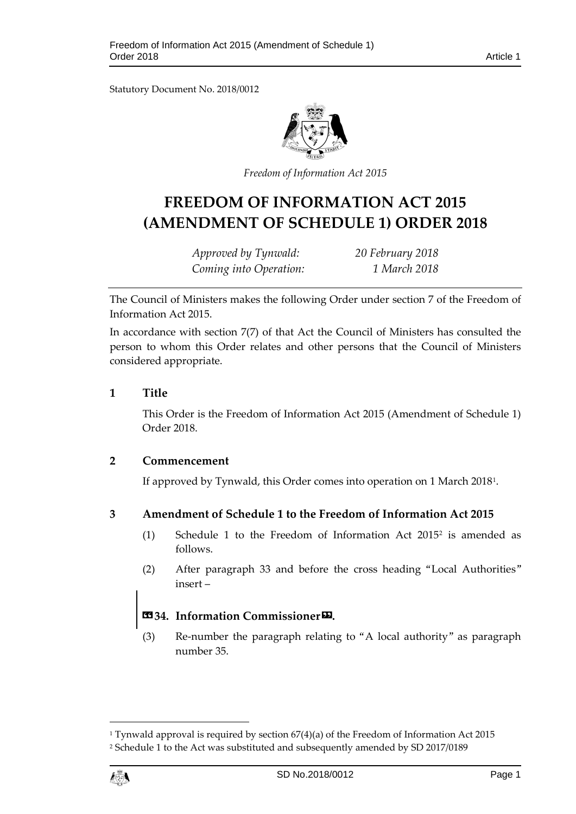Statutory Document No. 2018/0012



*Freedom of Information Act 2015*

# **FREEDOM OF INFORMATION ACT 2015 (AMENDMENT OF SCHEDULE 1) ORDER 2018**

*Approved by Tynwald: 20 February 2018 Coming into Operation: 1 March 2018*

The Council of Ministers makes the following Order under section 7 of the Freedom of Information Act 2015.

In accordance with section 7(7) of that Act the Council of Ministers has consulted the person to whom this Order relates and other persons that the Council of Ministers considered appropriate.

### **1 Title**

This Order is the Freedom of Information Act 2015 (Amendment of Schedule 1) Order 2018.

### **2 Commencement**

If approved by Tynwald, this Order comes into operation on 1 March 2018[1.](#page-0-0)

### **3 Amendment of Schedule 1 to the Freedom of Information Act 2015**

- (1) Schedule 1 to the Freedom of Information Act 2015[2](#page-0-1) is amended as follows.
- (2) After paragraph 33 and before the cross heading "Local Authorities" insert –

# **«34. Information Commissioner».**

(3) Re-number the paragraph relating to "A local authority" as paragraph number 35.

 $\overline{a}$ 

<span id="page-0-1"></span><span id="page-0-0"></span><sup>&</sup>lt;sup>1</sup> Tynwald approval is required by section  $67(4)(a)$  of the Freedom of Information Act 2015 <sup>2</sup> Schedule 1 to the Act was substituted and subsequently amended by SD 2017/0189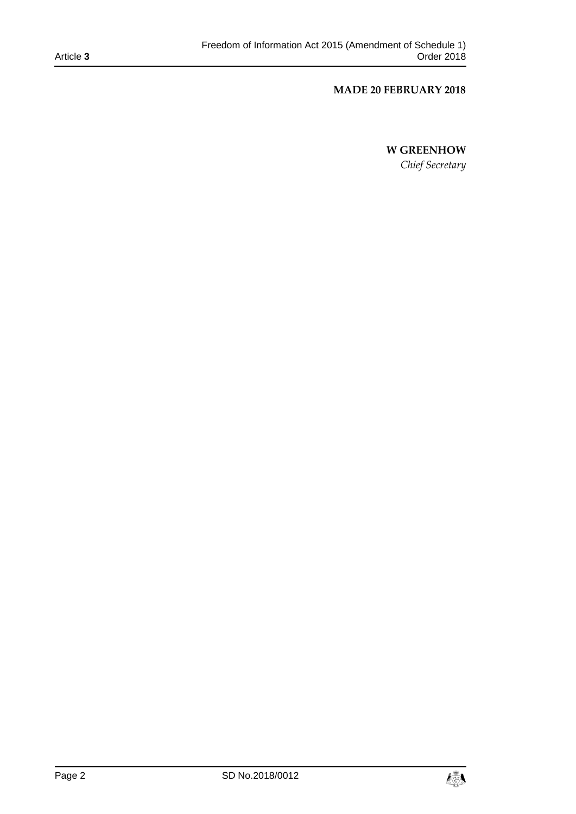#### **MADE 20 FEBRUARY 2018**

### **W GREENHOW**

*Chief Secretary*